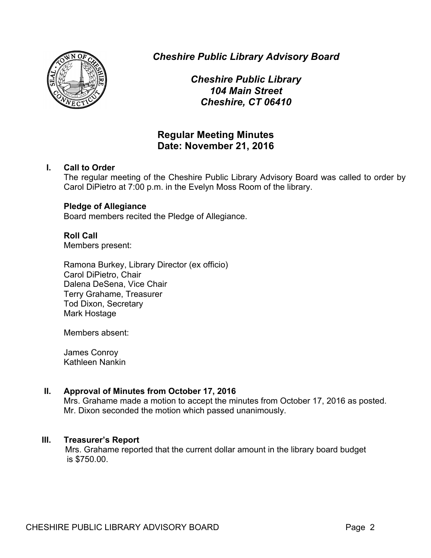

*Cheshire Public Library Advisory Board*

*Cheshire Public Library 104 Main Street Cheshire, CT 06410*

# **Regular Meeting Minutes Date: November 21, 2016**

# **I. Call to Order**

The regular meeting of the Cheshire Public Library Advisory Board was called to order by Carol DiPietro at 7:00 p.m. in the Evelyn Moss Room of the library.

# **Pledge of Allegiance**

Board members recited the Pledge of Allegiance.

# **Roll Call**

Members present:

Ramona Burkey, Library Director (ex officio) Carol DiPietro, Chair Dalena DeSena, Vice Chair Terry Grahame, Treasurer Tod Dixon, Secretary Mark Hostage

Members absent:

James Conroy Kathleen Nankin

# **II. Approval of Minutes from October 17, 2016**

Mrs. Grahame made a motion to accept the minutes from October 17, 2016 as posted. Mr. Dixon seconded the motion which passed unanimously.

# **III. Treasurer's Report**

Mrs. Grahame reported that the current dollar amount in the library board budget is \$750.00.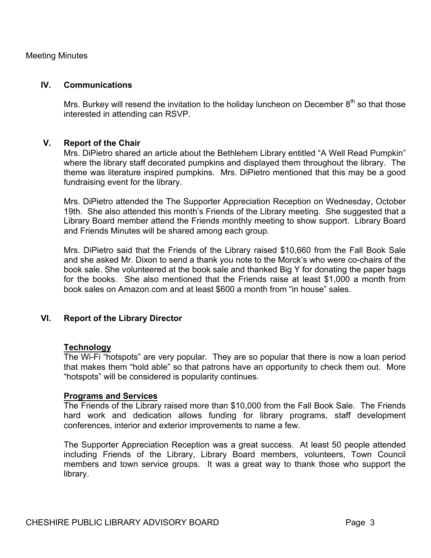### Meeting Minutes

#### **IV. Communications**

Mrs. Burkey will resend the invitation to the holiday luncheon on December  $8<sup>th</sup>$  so that those interested in attending can RSVP.

### **V. Report of the Chair**

Mrs. DiPietro shared an article about the Bethlehem Library entitled "A Well Read Pumpkin" where the library staff decorated pumpkins and displayed them throughout the library. The theme was literature inspired pumpkins. Mrs. DiPietro mentioned that this may be a good fundraising event for the library.

Mrs. DiPietro attended the The Supporter Appreciation Reception on Wednesday, October 19th. She also attended this month's Friends of the Library meeting. She suggested that a Library Board member attend the Friends monthly meeting to show support. Library Board and Friends Minutes will be shared among each group.

Mrs. DiPietro said that the Friends of the Library raised \$10,660 from the Fall Book Sale and she asked Mr. Dixon to send a thank you note to the Morck's who were co-chairs of the book sale. She volunteered at the book sale and thanked Big Y for donating the paper bags for the books. She also mentioned that the Friends raise at least \$1,000 a month from book sales on Amazon.com and at least \$600 a month from "in house" sales.

# **VI. Report of the Library Director**

#### **Technology**

The Wi-Fi "hotspots" are very popular. They are so popular that there is now a loan period that makes them "hold able" so that patrons have an opportunity to check them out. More "hotspots" will be considered is popularity continues.

#### **Programs and Services**

The Friends of the Library raised more than \$10,000 from the Fall Book Sale. The Friends hard work and dedication allows funding for library programs, staff development conferences, interior and exterior improvements to name a few.

The Supporter Appreciation Reception was a great success. At least 50 people attended including Friends of the Library, Library Board members, volunteers, Town Council members and town service groups. It was a great way to thank those who support the library.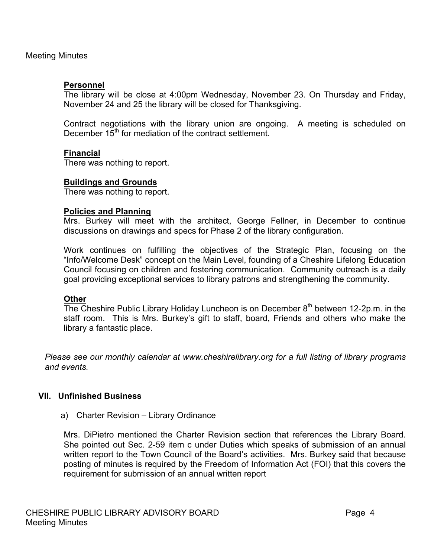# **Personnel**

The library will be close at 4:00pm Wednesday, November 23. On Thursday and Friday, November 24 and 25 the library will be closed for Thanksgiving.

Contract negotiations with the library union are ongoing. A meeting is scheduled on December  $15<sup>th</sup>$  for mediation of the contract settlement.

# **Financial**

There was nothing to report.

# **Buildings and Grounds**

There was nothing to report.

# **Policies and Planning**

Mrs. Burkey will meet with the architect, George Fellner, in December to continue discussions on drawings and specs for Phase 2 of the library configuration.

Work continues on fulfilling the objectives of the Strategic Plan, focusing on the "Info/Welcome Desk" concept on the Main Level, founding of a Cheshire Lifelong Education Council focusing on children and fostering communication. Community outreach is a daily goal providing exceptional services to library patrons and strengthening the community.

# **Other**

The Cheshire Public Library Holiday Luncheon is on December  $8<sup>th</sup>$  between 12-2p.m. in the staff room. This is Mrs. Burkey's gift to staff, board, Friends and others who make the library a fantastic place.

*Please see our monthly calendar at www.cheshirelibrary.org for a full listing of library programs and events.*

# **VII. Unfinished Business**

a) Charter Revision – Library Ordinance

Mrs. DiPietro mentioned the Charter Revision section that references the Library Board. She pointed out Sec. 2-59 item c under Duties which speaks of submission of an annual written report to the Town Council of the Board's activities. Mrs. Burkey said that because posting of minutes is required by the Freedom of Information Act (FOI) that this covers the requirement for submission of an annual written report